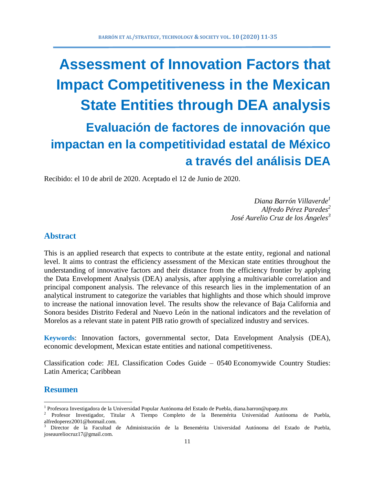# **Assessment of Innovation Factors that Impact Competitiveness in the Mexican State Entities through DEA analysis Evaluación de factores de innovación que impactan en la competitividad estatal de México a través del análisis DEA**

Recibido: el 10 de abril de 2020. Aceptado el 12 de Junio de 2020.

*Diana Barrón Villaverde<sup>1</sup> Alfredo Pérez Paredes<sup>2</sup> José Aurelio Cruz de los Ángeles<sup>3</sup>*

# **Abstract**

This is an applied research that expects to contribute at the estate entity, regional and national level. It aims to contrast the efficiency assessment of the Mexican state entities throughout the understanding of innovative factors and their distance from the efficiency frontier by applying the Data Envelopment Analysis (DEA) analysis, after applying a multivariable correlation and principal component analysis. The relevance of this research lies in the implementation of an analytical instrument to categorize the variables that highlights and those which should improve to increase the national innovation level. The results show the relevance of Baja California and Sonora besides Distrito Federal and Nuevo León in the national indicators and the revelation of Morelos as a relevant state in patent PIB ratio growth of specialized industry and services.

**Keywords**: Innovation factors, governmental sector, Data Envelopment Analysis (DEA), economic development, Mexican estate entities and national competitiveness.

Classification code: JEL Classification Codes Guide – 0540 Economywide Country Studies: Latin America; Caribbean

### **Resumen**

 $\overline{a}$ 

<sup>&</sup>lt;sup>1</sup> Profesora Investigadora de la Universidad Popular Autónoma del Estado de Puebla, diana.barron@upaep.mx

<sup>&</sup>lt;sup>2</sup> Profesor Investigador, Titular A Tiempo Completo de la Benemérita Universidad Autónoma de Puebla, alfredoperez2001@hotmail.com.

<sup>3</sup> Director de la Facultad de Administración de la Benemérita Universidad Autónoma del Estado de Puebla, joseaureliocruz17@gmail.com.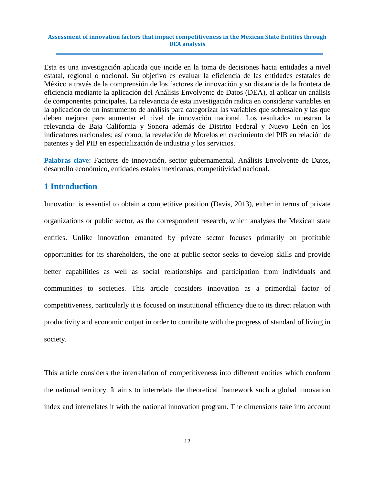Esta es una investigación aplicada que incide en la toma de decisiones hacia entidades a nivel estatal, regional o nacional. Su objetivo es evaluar la eficiencia de las entidades estatales de México a través de la comprensión de los factores de innovación y su distancia de la frontera de eficiencia mediante la aplicación del Análisis Envolvente de Datos (DEA), al aplicar un análisis de componentes principales. La relevancia de esta investigación radica en considerar variables en la aplicación de un instrumento de análisis para categorizar las variables que sobresalen y las que deben mejorar para aumentar el nivel de innovación nacional. Los resultados muestran la relevancia de Baja California y Sonora además de Distrito Federal y Nuevo León en los indicadores nacionales; así como, la revelación de Morelos en crecimiento del PIB en relación de patentes y del PIB en especialización de industria y los servicios.

**Palabras clave**: Factores de innovación, sector gubernamental, Análisis Envolvente de Datos, desarrollo económico, entidades estales mexicanas, competitividad nacional.

# **1 Introduction**

Innovation is essential to obtain a competitive position (Davis, 2013), either in terms of private organizations or public sector, as the correspondent research, which analyses the Mexican state entities. Unlike innovation emanated by private sector focuses primarily on profitable opportunities for its shareholders, the one at public sector seeks to develop skills and provide better capabilities as well as social relationships and participation from individuals and communities to societies. This article considers innovation as a primordial factor of competitiveness, particularly it is focused on institutional efficiency due to its direct relation with productivity and economic output in order to contribute with the progress of standard of living in society.

This article considers the interrelation of competitiveness into different entities which conform the national territory. It aims to interrelate the theoretical framework such a global innovation index and interrelates it with the national innovation program. The dimensions take into account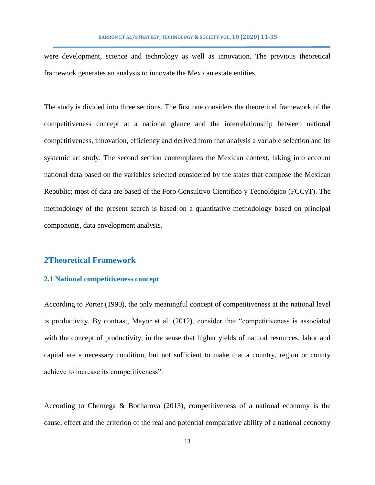were development, science and technology as well as innovation. The previous theoretical framework generates an analysis to innovate the Mexican estate entities.

The study is divided into three sections. The first one considers the theoretical framework of the competitiveness concept at a national glance and the interrelationship between national competitiveness, innovation, efficiency and derived from that analysis a variable selection and its systemic art study. The second section contemplates the Mexican context, taking into account national data based on the variables selected considered by the states that compose the Mexican Republic; most of data are based of the Foro Consultivo Científico y Tecnológico (FCCyT). The methodology of the present search is based on a quantitative methodology based on principal components, data envelopment analysis.

### **2Theoretical Framework**

### **2.1 National competitiveness concept**

According to Porter (1990), the only meaningful concept of competitiveness at the national level is productivity. By contrast, Mayor et al. (2012), consider that "competitiveness is associated with the concept of productivity, in the sense that higher yields of natural resources, labor and capital are a necessary condition, but not sufficient to make that a country, region or county achieve to increase its competitiveness".

According to Chernega & Bocharova (2013), competitiveness of a national economy is the cause, effect and the criterion of the real and potential comparative ability of a national economy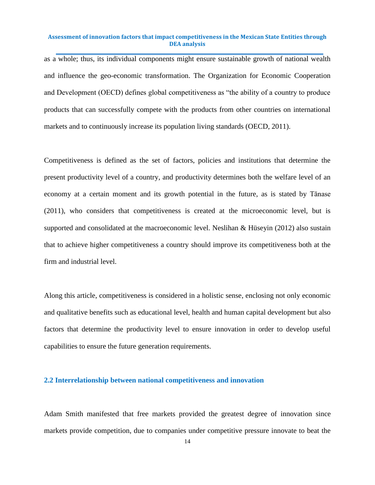as a whole; thus, its individual components might ensure sustainable growth of national wealth and influence the geo-economic transformation. The Organization for Economic Cooperation and Development (OECD) defines global competitiveness as "the ability of a country to produce products that can successfully compete with the products from other countries on international markets and to continuously increase its population living standards (OECD, 2011).

Competitiveness is defined as the set of factors, policies and institutions that determine the present productivity level of a country, and productivity determines both the welfare level of an economy at a certain moment and its growth potential in the future, as is stated by Tănase (2011), who considers that competitiveness is created at the microeconomic level, but is supported and consolidated at the macroeconomic level. Neslihan & Hüseyin (2012) also sustain that to achieve higher competitiveness a country should improve its competitiveness both at the firm and industrial level.

Along this article, competitiveness is considered in a holistic sense, enclosing not only economic and qualitative benefits such as educational level, health and human capital development but also factors that determine the productivity level to ensure innovation in order to develop useful capabilities to ensure the future generation requirements.

### **2.2 Interrelationship between national competitiveness and innovation**

Adam Smith manifested that free markets provided the greatest degree of innovation since markets provide competition, due to companies under competitive pressure innovate to beat the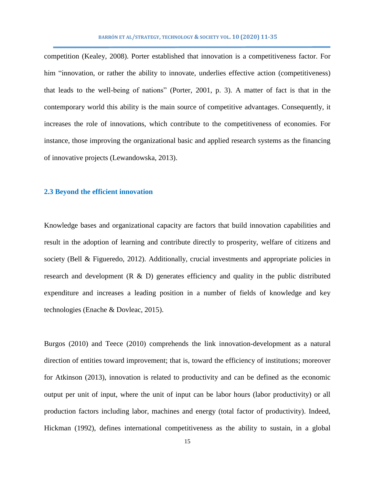competition (Kealey, 2008). Porter established that innovation is a competitiveness factor. For him "innovation, or rather the ability to innovate, underlies effective action (competitiveness) that leads to the well-being of nations" (Porter, 2001, p. 3). A matter of fact is that in the contemporary world this ability is the main source of competitive advantages. Consequently, it increases the role of innovations, which contribute to the competitiveness of economies. For instance, those improving the organizational basic and applied research systems as the financing of innovative projects (Lewandowska, 2013).

### **2.3 Beyond the efficient innovation**

Knowledge bases and organizational capacity are factors that build innovation capabilities and result in the adoption of learning and contribute directly to prosperity, welfare of citizens and society (Bell & Figueredo, 2012). Additionally, crucial investments and appropriate policies in research and development (R & D) generates efficiency and quality in the public distributed expenditure and increases a leading position in a number of fields of knowledge and key technologies (Enache & Dovleac, 2015).

Burgos (2010) and Teece (2010) comprehends the link innovation-development as a natural direction of entities toward improvement; that is, toward the efficiency of institutions; moreover for Atkinson (2013), innovation is related to productivity and can be defined as the economic output per unit of input, where the unit of input can be labor hours (labor productivity) or all production factors including labor, machines and energy (total factor of productivity). Indeed, Hickman (1992), defines international competitiveness as the ability to sustain, in a global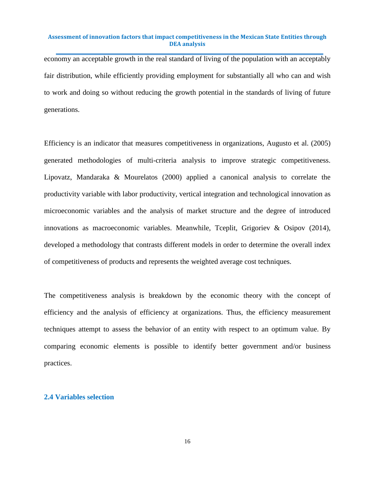economy an acceptable growth in the real standard of living of the population with an acceptably fair distribution, while efficiently providing employment for substantially all who can and wish to work and doing so without reducing the growth potential in the standards of living of future generations.

Efficiency is an indicator that measures competitiveness in organizations, Augusto et al. (2005) generated methodologies of multi-criteria analysis to improve strategic competitiveness. Lipovatz, Mandaraka & Mourelatos (2000) applied a canonical analysis to correlate the productivity variable with labor productivity, vertical integration and technological innovation as microeconomic variables and the analysis of market structure and the degree of introduced innovations as macroeconomic variables. Meanwhile, Tceplit, Grigoriev & Osipov (2014), developed a methodology that contrasts different models in order to determine the overall index of competitiveness of products and represents the weighted average cost techniques.

The competitiveness analysis is breakdown by the economic theory with the concept of efficiency and the analysis of efficiency at organizations. Thus, the efficiency measurement techniques attempt to assess the behavior of an entity with respect to an optimum value. By comparing economic elements is possible to identify better government and/or business practices.

### **2.4 Variables selection**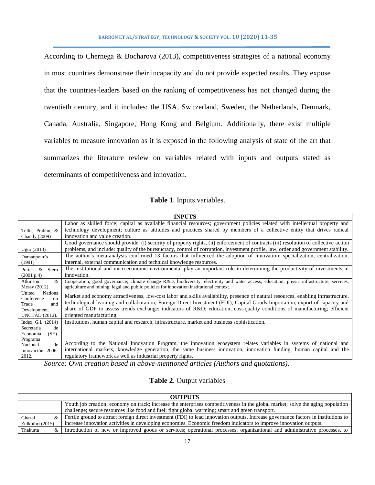According to Chernega & Bocharova (2013), competitiveness strategies of a national economy in most countries demonstrate their incapacity and do not provide expected results. They expose that the countries-leaders based on the ranking of competitiveness has not changed during the twentieth century, and it includes: the USA, Switzerland, Sweden, the Netherlands, Denmark, Canada, Australia, Singapore, Hong Kong and Belgium. Additionally, there exist multiple variables to measure innovation as it is exposed in the following analysis of state of the art that summarizes the literature review on variables related with inputs and outputs stated as determinants of competitiveness and innovation.

### **Table 1**. Inputs variables.

|                                        | <b>INPUTS</b>                                                                                                                             |
|----------------------------------------|-------------------------------------------------------------------------------------------------------------------------------------------|
|                                        | Labor as skilled force; capital as available financial resources; government policies related with intellectual property and              |
| Tellis, Prabhu, &                      | technology development; culture as attitudes and practices shared by members of a collective entity that drives radical                   |
| <b>Chandy</b> (2009)                   | innovation and value creation.                                                                                                            |
|                                        | Good governance should provide: (i) security of property rights, (ii) enforcement of contracts (iii) resolution of collective action      |
| Ugur (2013)                            | problems, and include: quality of the bureaucracy, control of corruption, investment profile, law, order and government stability.        |
| Damanpour's                            | The author's meta-analysis confirmed 13 factors that influenced the adoption of innovation: specialization, centralization,               |
| (1991)                                 | internal, external communication and technical knowledge resources.                                                                       |
| Porter $\&$<br>Stern                   | The institutional and microeconomic environmental play an important role in determining the productivity of investments in                |
| (2001 p.4)                             | innovation.                                                                                                                               |
| Atkinson<br>&                          | Cooperation, good governance; climate change R&D, biodiversity; electricity and water access; education; physic infrastructure; services, |
| Messy $(2012)$                         | agriculture and mining; legal and public policies for innovation institutional context.                                                   |
| United<br><b>Nations</b><br>Conference | Market and economy attractiveness, low-cost labor and skills availability, presence of natural resources, enabling infrastructure,        |
| $_{\rm on}$<br>Trade<br>and            | technological learning and collaboration, Foreign Direct Investment (FDI), Capital Goods Importation, export of capacity and              |
| Development.                           | share of GDP to assess trends exchange; indicators of R&D education, cost-quality conditions of manufacturing; efficient                  |
| <b>UNCTAD</b> (2012).                  | oriented manufacturing.                                                                                                                   |
| Index, G.I. (2014)                     | Institutions, human capital and research, infrastructure, market and business sophistication.                                             |
| de<br>Secretaría                       |                                                                                                                                           |
| $(SE)$ .<br>Economía                   |                                                                                                                                           |
| Programa                               | According to the National Innovation Program, the innovation ecosystem relates variables in systems of national and                       |
| de<br>Nacional                         | international markets, knowledge generation, the same business innovation, innovation funding, human capital and the                      |
| Innovación 2006-<br>2012.              | regulatory framework as well as industrial property rights.                                                                               |
|                                        | .                                                                                                                                         |

*Source: Own creation based in above-mentioned articles (Authors and quotations)*.

### **Table 2**. Output variables

|                  | <b>OUTPUTS</b>                                                                                                                       |
|------------------|--------------------------------------------------------------------------------------------------------------------------------------|
|                  | Youth job creation; economy on track; increase the enterprises competitiveness in the global market; solve the aging population      |
|                  | challenge; secure resources like food and fuel; fight global warming; smart and green transport.                                     |
| Ghazal<br>&      | Fertile ground to attract foreign direct investment (FDI) to lead innovation outputs. Increase governance factors in institutions to |
| Zulkhibri (2015) | increase innovation activities in developing economies. Economic freedom indicators to improve innovation outputs.                   |
| Thakurta<br>&    | Introduction of new or improved goods or services; operational processes; organizational and administrative processes, to            |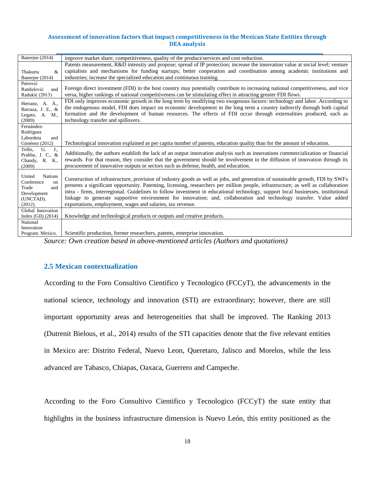| Banerjee (2014)                                                                                     | improve market share, competitiveness, quality of the product/services and cost reduction.                                                                                                                                                                                                                                                                                                                                                                                                                                                                                                   |
|-----------------------------------------------------------------------------------------------------|----------------------------------------------------------------------------------------------------------------------------------------------------------------------------------------------------------------------------------------------------------------------------------------------------------------------------------------------------------------------------------------------------------------------------------------------------------------------------------------------------------------------------------------------------------------------------------------------|
| &<br>Thakurta<br>Banerjee (2014)                                                                    | Patents measurement, R&D intensity and propose; spread of IP protection; increase the innovation value at social level; venture<br>capitalists and mechanisms for funding startups; better cooperation and coordination among academic institutions and<br>industries; increase the specialized education and continuous training.                                                                                                                                                                                                                                                           |
| Petrović<br>Ranñelović<br>and<br>Radukić (2013)                                                     | Foreign direct investment (FDI) in the host country may potentially contribute to increasing national competitiveness, and vice<br>versa, higher rankings of national competitiveness can be stimulating effect in attracting greater FDI flows.                                                                                                                                                                                                                                                                                                                                             |
| Á.,<br>Herranz, A.<br>Barraza, J. E., &<br>Legato, A. M.,<br>(2009)                                 | FDI only improves economic growth in the long term by modifying two exogenous factors: technology and labor. According to<br>the endogenous model, FDI does impact on economic development in the long term a country indirectly through both capital<br>formation and the development of human resources. The effects of FDI occur through externalities produced, such as<br>technology transfer and spillovers.                                                                                                                                                                           |
| Fernández-<br>Rodríguez<br>Labordeta<br>and<br>Giménez (2012)                                       | Technological innovation explained as per capita number of patents, education quality than for the amount of education.                                                                                                                                                                                                                                                                                                                                                                                                                                                                      |
| G.<br>J.,<br>Tellis,<br>Prabhu, J. C., &<br>R. K.,<br>Chandy,<br>(2009)                             | Additionally, the authors establish the lack of an output innovation analysis such as innovations commercialization or financial<br>rewards. For that reason, they consider that the government should be involvement in the diffusion of innovation through its<br>procurement of innovative outputs in sectors such as defense, health, and education.                                                                                                                                                                                                                                     |
| <b>Nations</b><br>United<br>Conference<br>on<br>Trade<br>and<br>Development<br>(UNCTAD).<br>(2012). | Construction of infrastructure, provision of industry goods as well as jobs, and generation of sustainable growth, FDI by SWFs<br>presents a significant opportunity. Patenting, licensing, researchers per million people, infrastructure; as well as collaboration<br>intra - firms, interregional. Guidelines to follow investment in educational technology, support local businesses, institutional<br>linkage to generate supportive environment for innovation; and, collaboration and technology transfer. Value added<br>exportations, employment, wages and salaries, tax revenue. |
| Global Innovation<br>Index $(GII)$ $(2014)$                                                         | Knowledge and technological products or outputs and creative products.                                                                                                                                                                                                                                                                                                                                                                                                                                                                                                                       |
| National<br>Innovation<br>Program. Mexico.                                                          | Scientific production, former researchers, patents, enterprise innovation.                                                                                                                                                                                                                                                                                                                                                                                                                                                                                                                   |

*Source: Own creation based in above-mentioned articles (Authors and quotations)*

### **2.5 Mexican contextualization**

According to the Foro Consultivo Cientifico y Tecnologico (FCCyT), the advancements in the national science, technology and innovation (STI) are extraordinary; however, there are still important opportunity areas and heterogeneities that shall be improved. The Ranking 2013 (Dutrenit Bielous, et al., 2014) results of the STI capacities denote that the five relevant entities in Mexico are: Distrito Federal, Nuevo Leon, Queretaro, Jalisco and Morelos, while the less advanced are Tabasco, Chiapas, Oaxaca, Guerrero and Campeche.

According to the Foro Consultivo Cientifico y Tecnologico (FCCyT) the state entity that highlights in the business infrastructure dimension is Nuevo León, this entity positioned as the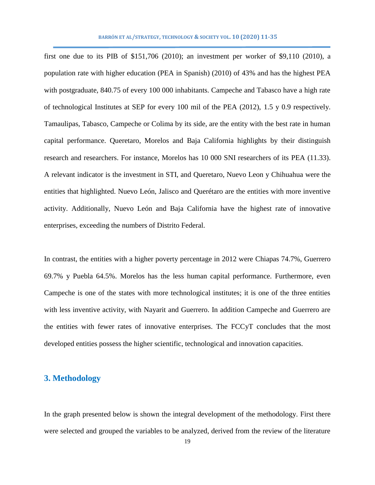first one due to its PIB of \$151,706 (2010); an investment per worker of \$9,110 (2010), a population rate with higher education (PEA in Spanish) (2010) of 43% and has the highest PEA with postgraduate, 840.75 of every 100 000 inhabitants. Campeche and Tabasco have a high rate of technological Institutes at SEP for every 100 mil of the PEA (2012), 1.5 y 0.9 respectively. Tamaulipas, Tabasco, Campeche or Colima by its side, are the entity with the best rate in human capital performance. Queretaro, Morelos and Baja California highlights by their distinguish research and researchers. For instance, Morelos has 10 000 SNI researchers of its PEA (11.33). A relevant indicator is the investment in STI, and Queretaro, Nuevo Leon y Chihuahua were the entities that highlighted. Nuevo León, Jalisco and Querétaro are the entities with more inventive activity. Additionally, Nuevo León and Baja California have the highest rate of innovative enterprises, exceeding the numbers of Distrito Federal.

In contrast, the entities with a higher poverty percentage in 2012 were Chiapas 74.7%, Guerrero 69.7% y Puebla 64.5%. Morelos has the less human capital performance. Furthermore, even Campeche is one of the states with more technological institutes; it is one of the three entities with less inventive activity, with Nayarit and Guerrero. In addition Campeche and Guerrero are the entities with fewer rates of innovative enterprises. The FCCyT concludes that the most developed entities possess the higher scientific, technological and innovation capacities.

# **3. Methodology**

In the graph presented below is shown the integral development of the methodology. First there were selected and grouped the variables to be analyzed, derived from the review of the literature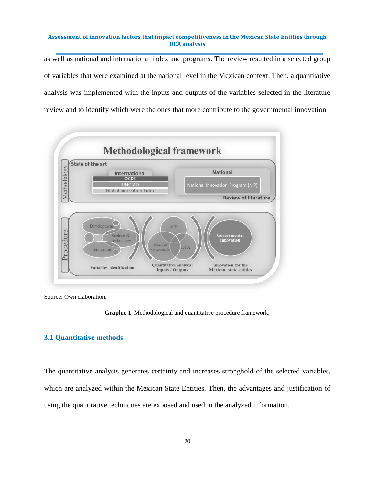as well as national and international index and programs. The review resulted in a selected group of variables that were examined at the national level in the Mexican context. Then, a quantitative analysis was implemented with the inputs and outputs of the variables selected in the literature review and to identify which were the ones that more contribute to the governmental innovation.



Source: Own elaboration*.*

**Graphic 1**. Methodological and quantitative procedure framework.

### **3.1 Quantitative methods**

The quantitative analysis generates certainty and increases stronghold of the selected variables, which are analyzed within the Mexican State Entities. Then, the advantages and justification of using the quantitative techniques are exposed and used in the analyzed information.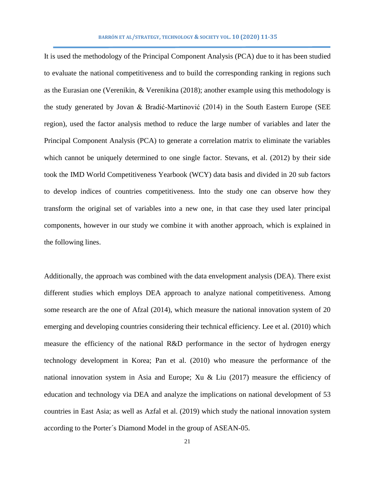It is used the methodology of the Principal Component Analysis (PCA) due to it has been studied to evaluate the national competitiveness and to build the corresponding ranking in regions such as the Eurasian one (Verenikin,  $&$  Verenikina (2018); another example using this methodology is the study generated by Jovan & Bradić-Martinović (2014) in the South Eastern Europe (SEE region), used the factor analysis method to reduce the large number of variables and later the Principal Component Analysis (PCA) to generate a correlation matrix to eliminate the variables which cannot be uniquely determined to one single factor. Stevans, et al. (2012) by their side took the IMD World Competitiveness Yearbook (WCY) data basis and divided in 20 sub factors to develop indices of countries competitiveness. Into the study one can observe how they transform the original set of variables into a new one, in that case they used later principal components, however in our study we combine it with another approach, which is explained in the following lines.

Additionally, the approach was combined with the data envelopment analysis (DEA). There exist different studies which employs DEA approach to analyze national competitiveness. Among some research are the one of Afzal (2014), which measure the national innovation system of 20 emerging and developing countries considering their technical efficiency. Lee et al. (2010) which measure the efficiency of the national R&D performance in the sector of hydrogen energy technology development in Korea; Pan et al. (2010) who measure the performance of the national innovation system in Asia and Europe; Xu & Liu  $(2017)$  measure the efficiency of education and technology via DEA and analyze the implications on national development of 53 countries in East Asia; as well as Azfal et al. (2019) which study the national innovation system according to the Porter´s Diamond Model in the group of ASEAN-05.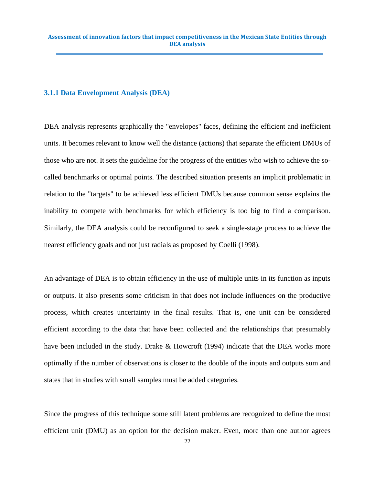### **3.1.1 Data Envelopment Analysis (DEA)**

DEA analysis represents graphically the "envelopes" faces, defining the efficient and inefficient units. It becomes relevant to know well the distance (actions) that separate the efficient DMUs of those who are not. It sets the guideline for the progress of the entities who wish to achieve the socalled benchmarks or optimal points. The described situation presents an implicit problematic in relation to the "targets" to be achieved less efficient DMUs because common sense explains the inability to compete with benchmarks for which efficiency is too big to find a comparison. Similarly, the DEA analysis could be reconfigured to seek a single-stage process to achieve the nearest efficiency goals and not just radials as proposed by Coelli (1998).

An advantage of DEA is to obtain efficiency in the use of multiple units in its function as inputs or outputs. It also presents some criticism in that does not include influences on the productive process, which creates uncertainty in the final results. That is, one unit can be considered efficient according to the data that have been collected and the relationships that presumably have been included in the study. Drake & Howcroft (1994) indicate that the DEA works more optimally if the number of observations is closer to the double of the inputs and outputs sum and states that in studies with small samples must be added categories.

Since the progress of this technique some still latent problems are recognized to define the most efficient unit (DMU) as an option for the decision maker. Even, more than one author agrees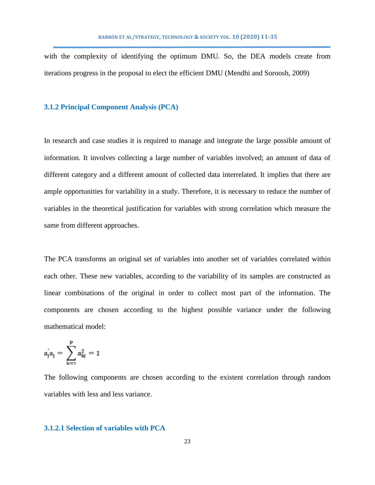with the complexity of identifying the optimum DMU. So, the DEA models create from iterations progress in the proposal to elect the efficient DMU (Mendhi and Soroosh, 2009)

### **3.1.2 Principal Component Analysis (PCA)**

In research and case studies it is required to manage and integrate the large possible amount of information. It involves collecting a large number of variables involved; an amount of data of different category and a different amount of collected data interrelated. It implies that there are ample opportunities for variability in a study. Therefore, it is necessary to reduce the number of variables in the theoretical justification for variables with strong correlation which measure the same from different approaches.

The PCA transforms an original set of variables into another set of variables correlated within each other. These new variables, according to the variability of its samples are constructed as linear combinations of the original in order to collect most part of the information. The components are chosen according to the highest possible variance under the following mathematical model:

$$
a_j^{'}a_j=\sum_{k=1}^{p}a_{kj}^2=1
$$

The following components are chosen according to the existent correlation through random variables with less and less variance.

### **3.1.2.1 Selection of variables with PCA**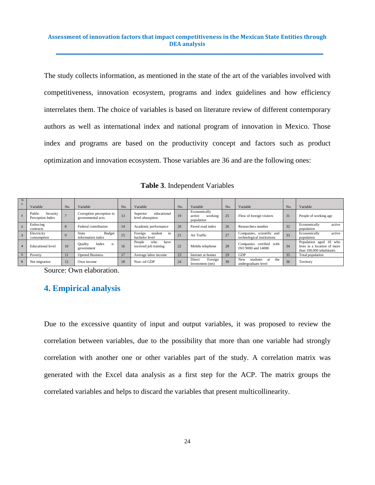The study collects information, as mentioned in the state of the art of the variables involved with competitiveness, innovation ecosystem, programs and index guidelines and how efficiency interrelates them. The choice of variables is based on literature review of different contemporary authors as well as international index and national program of innovation in Mexico. Those index and programs are based on the productivity concept and factors such as product optimization and innovation ecosystem. Those variables are 36 and are the following ones:

**Table 3**. Independent Variables

| N<br>$\Omega$ | Variable                               | No. | Variable                                       | No. | No.<br>Variable                                                            |    | Variable                                        | No. | Variable                                                   | No.                                  | Variable                                                                          |
|---------------|----------------------------------------|-----|------------------------------------------------|-----|----------------------------------------------------------------------------|----|-------------------------------------------------|-----|------------------------------------------------------------|--------------------------------------|-----------------------------------------------------------------------------------|
|               | Public<br>Security<br>Perception Index |     | Corruption perception in<br>governmental acts. | 13  | educational<br>Superior<br>level absorption                                | 19 | Economically<br>working<br>active<br>population |     | Flow of foreign visitors                                   | 31                                   | People of working age                                                             |
|               | Enforcing<br>contracts                 |     | Federal contribution                           | 14  | 26<br>20<br>Academic performance<br>Paved road index<br>Researchers number |    |                                                 |     | 32                                                         | active<br>Economically<br>population |                                                                                   |
|               | Electricity<br>consumption             |     | <b>Budget</b><br>State<br>information index    |     | Foreign<br>student<br>in<br>bachelor level                                 | 21 | Air Traffic                                     | 27  | Companies, scientific and<br>technological institutions    | 33                                   | Economically<br>active<br>population                                              |
|               | <b>Educational</b> level               | 10  | Index<br><b>Quality</b><br>$e-$<br>government  | 16  | People<br>who<br>have<br>received job training                             | 22 | Mobile telephone                                | 28  | Companies certified with<br>ISO 9000 and 14000             | 34                                   | Population aged 18 who<br>lives in a location of more<br>than 100,000 inhabitants |
|               | Poverty                                |     | <b>Opened Business</b>                         | 17  | Average labor income                                                       | 23 | Internet at homes                               | 29  | <b>GDP</b>                                                 | 35                                   | Total population                                                                  |
| 6             | Net migration                          | 12  | Own income                                     | 18  | Non-oil GDP                                                                | 24 | Foreign<br>Direct<br>Investment (net)           | 30  | <b>New</b><br>students<br>the<br>at<br>undergraduate level | 36                                   | Territory                                                                         |

Source: Own elaboration.

# **4. Empirical analysis**

Due to the excessive quantity of input and output variables, it was proposed to review the correlation between variables, due to the possibility that more than one variable had strongly correlation with another one or other variables part of the study. A correlation matrix was generated with the Excel data analysis as a first step for the ACP. The matrix groups the correlated variables and helps to discard the variables that present multicollinearity.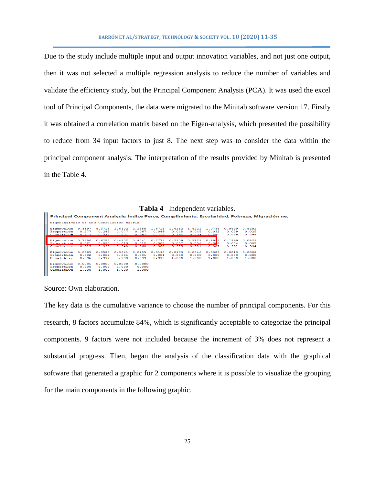Due to the study include multiple input and output innovation variables, and not just one output, then it was not selected a multiple regression analysis to reduce the number of variables and validate the efficiency study, but the Principal Component Analysis (PCA). It was used the excel tool of Principal Components, the data were migrated to the Minitab software version 17. Firstly it was obtained a correlation matrix based on the Eigen-analysis, which presented the possibility to reduce from 34 input factors to just 8. The next step was to consider the data within the principal component analysis. The interpretation of the results provided by Minitab is presented in the Table 4.

|                                                                                           |        |        |        |           |        | <b>Tabla 4</b> Independent variables. |        |             |        |        |  |
|-------------------------------------------------------------------------------------------|--------|--------|--------|-----------|--------|---------------------------------------|--------|-------------|--------|--------|--|
| Principal Component Analysis: Índice Perce, Cumplimiento, Escolaridad, Pobreza, Migración |        |        |        |           |        |                                       |        |             |        |        |  |
| Eigenanalysis of the Correlation Matrix                                                   |        |        |        |           |        |                                       |        |             |        |        |  |
| Eigenvalue                                                                                | 9.4197 | 8.3715 | 2.6302 | 2.2658    | 1.6718 | 1.6182                                | 1.5221 | 1.0735      | 0.9699 | 0.8492 |  |
| Proportion                                                                                | 0.277  | 0.246  | 0.077  | 0.067     | 0.049  | 0.048                                 | 0.045  | 0.032       | 0.029  | 0.025  |  |
| Cumulative                                                                                | 0.277  | 0.523  | 0.601  | 0.667     | 0.716  | 0.764                                 | 0.809  | 0.840       | 0.869  | 0.894  |  |
|                                                                                           |        |        |        |           |        |                                       |        |             |        |        |  |
| Eigenvalue                                                                                | 0.7250 | 0.6784 | 0.4502 | 0.4041    | 0.2773 | 0.2309                                | 0.2123 | 0.191<br>∎∍ | 0.1399 | 0.0822 |  |
| Proportion                                                                                | 0.021  | 0.020  | 0.013  | 0.012     | n nne  | 0.007                                 | 0.006  |             | 0.004  | 0.002  |  |
| Cumulative                                                                                | 0.915  | 0.935  | 0.948  | 0.960     | 0.968  | 0.975                                 | 0.981  | 0.987       | 0.991  | 0.994  |  |
|                                                                                           |        |        |        |           |        |                                       |        |             |        |        |  |
| Eigenvalue                                                                                | 0.0595 | 0.0520 | 0.0341 | 0.0285    | 0.0190 | 0.0133                                | 0.0046 | 0.0023      | 0.0010 | 0.0002 |  |
| Proportion                                                                                | 0.002  | 0.002  | 0.001  | 0.001     | 0.001  | 0.000                                 | 0.000  | 0.000       | 0.000  | 0.000  |  |
| Cumulative                                                                                | 0.995  | 0.997  | 0.998  | 0.999     | 0.999  | 1.000                                 | 1.000  | 1.000       | 1,000  | 1.000  |  |
|                                                                                           |        |        |        |           |        |                                       |        |             |        |        |  |
| Eigenvalue                                                                                | 0.0001 | 0.0000 | 0.0000 | $-0.0000$ |        |                                       |        |             |        |        |  |
| Proportion                                                                                | 0.000  | 0.000  | 0.000  | $-0.000$  |        |                                       |        |             |        |        |  |
| Cumulative                                                                                | 1,000  | 1.000  | 1.000  | 1.000     |        |                                       |        |             |        |        |  |
|                                                                                           |        |        |        |           |        |                                       |        |             |        |        |  |
|                                                                                           |        |        |        |           |        |                                       |        |             |        |        |  |

**Tabla 4** Independent variables.

ne,

Source: Own elaboration.

The key data is the cumulative variance to choose the number of principal components. For this research, 8 factors accumulate 84%, which is significantly acceptable to categorize the principal components. 9 factors were not included because the increment of 3% does not represent a substantial progress. Then, began the analysis of the classification data with the graphical software that generated a graphic for 2 components where it is possible to visualize the grouping for the main components in the following graphic.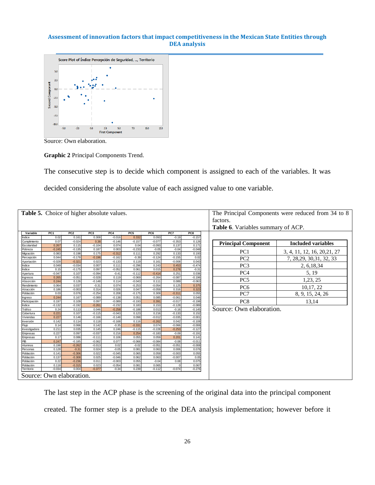

Source: Own elaboration.

**Graphic 2** Principal Components Trend.

The consecutive step is to decide which component is assigned to each of the variables. It was decided considering the absolute value of each assigned value to one variable.

|                                                                                                     | Table 5. Choice of higher absolute values. |                      |                   |                      | The Principal Components were reduced from 34 to 8 |                   |                   |                      |                            |                              |
|-----------------------------------------------------------------------------------------------------|--------------------------------------------|----------------------|-------------------|----------------------|----------------------------------------------------|-------------------|-------------------|----------------------|----------------------------|------------------------------|
|                                                                                                     |                                            |                      |                   |                      |                                                    |                   |                   |                      | factors.                   |                              |
|                                                                                                     |                                            |                      |                   |                      | <b>Table 6.</b> Variables summary of ACP.          |                   |                   |                      |                            |                              |
| Variable                                                                                            | PC <sub>1</sub>                            | PC <sub>2</sub>      | PC <sub>3</sub>   | PC4                  | PC <sub>5</sub>                                    | PC <sub>6</sub>   | PC7               | PC8                  |                            |                              |
| Índice                                                                                              | 0.02                                       | 0.161                | 0.308             | $-0.016$             | 0.332                                              | 0.093             | $-0.19$           | $-0.157$             |                            |                              |
| Cumplimiento                                                                                        | 0.07                                       | $-0.024$             | 0.38              | $-0.146$             | $-0.157$                                           | $-0.077$          | $-0.353$          | 0.126                | <b>Principal Component</b> | <b>Included variables</b>    |
| Escolaridad                                                                                         | 0.267                                      | 0.115                | $-0.104$          | 0.074                | 0.04                                               | $-0.093$          | 0.137             | 0.171                |                            |                              |
| Pobreza                                                                                             | $-0.245$                                   | $-0.135$             | 0.187             | 0.003                | $-0.233$                                           | $-0.05$           | $-0.04$           | $-0.048$             | PC <sub>1</sub>            | 3, 4, 11, 12, 16, 20, 21, 27 |
| Migración                                                                                           | 0.083                                      | 0.198                | 0.175             | $-0.312$<br>$-0.162$ | 0.111<br>$-0.39$                                   | 0.292<br>$-0.124$ | 0.133<br>$-0.155$ | 0.193                |                            |                              |
| Percepción<br>Aportación                                                                            | 0.044<br>$-0.028$                          | $-0.178$<br>$-0.321$ | $-0.196$<br>0.023 | $-0.133$             | 0.119                                              | 0.161             | $-0.008$          | 0.02<br>0.043        | PC <sub>2</sub>            | 7, 28, 29, 30, 31, 32, 33    |
| Índice                                                                                              | 0.049                                      | $-0.034$             | 0.007             | 0.111                | $-0.296$                                           | 0.243             | 0.453             | $-0.474$             | PC <sub>3</sub>            | 2, 6, 18, 34                 |
| Índice                                                                                              | 0.15                                       | $-0.175$             | 0.097             | $-0.052$             | 0.061                                              | 0.015             | 0.278             | $-0.31$              |                            |                              |
| Apertura                                                                                            | $-0.047$                                   | 0.107                | $-0.094$          | $-0.41$              | $-0.112$                                           | $-0.414$          | 0.251             | 0.036                | PC <sub>4</sub>            | 5, 19                        |
| Ingresos                                                                                            | 0.265                                      | $-0.051$             | $-0.028$          | 0.119                | $-0.069$                                           | $-0.264$          | $-0.087$          | $-0.196$             |                            |                              |
| Absorción                                                                                           | 0.244                                      | 0.126                | $-0.148$          | 0.114                | $-0.043$                                           | 0.111             | 0.089             | $-0.063$             | PC <sub>5</sub>            | 1,23, 25                     |
| Rendimiento                                                                                         | 0.064                                      | 0.037                | $-0.31$           | 0.074                | $-0.253$                                           | $-0.054$          | 0.125             | 0.375                | PC <sub>6</sub>            | 10,17, 22                    |
| Atracción                                                                                           | 0.186                                      | $-0.003$             | 0.314             | 0.026                | 0.047                                              | $-0.059$          | 0.316             | 0.323                |                            |                              |
| Población                                                                                           | 0.03                                       | 0.076                | $-0.254$          | 0.208                | $-0.175$                                           | 0.309             | $-0.311$          | 0.055                | PC7                        | 8, 9, 15, 24, 26             |
| Ingreso                                                                                             | 0.244                                      | 0.167                | $-0.089$          | $-0.138$             | 0.051                                              | 0.085             | $-0.061$          | 0.046                |                            |                              |
| Participación                                                                                       | 0.197                                      | 0.109                | 0.097             | $-0.089$             | $-0.193$                                           | 0.391             | $-0.017$          | $-0.198$             | PC <sub>8</sub>            | 13,14                        |
| Índice                                                                                              | $-0.132$                                   | $-0.192$             | $-0.261$          | $-0.232$             | 0.183                                              | 0.153             | $-0.128$          | $-0.089$             |                            |                              |
| Tráfico                                                                                             | 0.24                                       | 0.113                | 0.046             | $-0.258$             | $-0.188$                                           | 0.013             | $-0.16$           | $-0.145$             | Source: Own elaboration.   |                              |
| Cobertura                                                                                           | 0.221                                      | 0.107                | $-0.115$          | $-0.043$             | 0.123                                              | 0.216             | $-0.133$          | 0.152                |                            |                              |
| Viviendas                                                                                           | 0.227                                      | 0.146                | $-0.166$<br>0.118 | $-0.148$<br>$-0.168$ | 0.098                                              | $-0.012$          | $-0.035$<br>0.042 | $-0.001$             |                            |                              |
| Inversión<br>Fluio                                                                                  | 0.142                                      | 0.114<br>0.066       | 0.142             | $-0.35$              | 0.116<br>$-0.331$                                  | $-0.262$<br>0.074 | $-0.066$          | $-0.108$             |                            |                              |
| Investigadore                                                                                       | 0.14<br>0.211                              | 0.035                | 0.145             | 0.246                | $-0.115$                                           | $-0.228$          | $-0.253$          | $-0.006$<br>$-0.127$ |                            |                              |
| Empresas                                                                                            | 0.227                                      | 0.097                | $-0.037$          | 0.216                | 0.254                                              | $-0.183$          | $-0.09$           | $-0.191$             |                            |                              |
| Empresas                                                                                            | 0.17                                       | 0.086                | $-0.11$           | 0.106                | 0.055                                              | 0.059             | 0.201             | 0.141                |                            |                              |
| PB                                                                                                  | 0.247                                      | $-0.185$             | $-0.062$          | 0.077                | $-0.066$                                           | $-0.084$          | $-0.08$           | $-0.01$              |                            |                              |
| Alumnos                                                                                             | 0.198                                      | $-0.262$             | $-0.013$          | 0.02                 | $-0.02$                                            | $-0.051$          | $-0.051$          | $-0.008$             |                            |                              |
| Personas                                                                                            | 0.128                                      | $-0.31$              | 0.024             | $-0.05$              | 0.081                                              | 0.063             | 0.006             | 0.076                |                            |                              |
| Población                                                                                           | 0.141                                      | $-0.306$             | 0.022             | $-0.045$             | 0.065                                              | 0.059             | $-0.003$          | 0.055                |                            |                              |
| Población                                                                                           | 0.137                                      | $-0.308$             | 0.025             | $-0.046$             | 0.062                                              | 0.063             | $-0.007$          | 0.05                 |                            |                              |
| Población                                                                                           | 0.22                                       | $-0.236$             | 0.011             | $-0.003$             | 0.055                                              | $-0.04$           | 0.08              | 0.075                |                            |                              |
| Población                                                                                           | 0.118                                      | $-0.315$             | 0.023             | $-0.054$             | 0.081                                              | 0.065             |                   | 0.067                |                            |                              |
| $-0.074$<br>$-0.276$<br>0.004<br>$-0.377$<br>0.239<br>$-0.112$<br>Territorio<br>$-0.034$<br>$-0.34$ |                                            |                      |                   |                      |                                                    |                   |                   |                      |                            |                              |
|                                                                                                     | Source: Own elaboration.                   |                      |                   |                      |                                                    |                   |                   |                      |                            |                              |

The last step in the ACP phase is the screening of the original data into the principal component created. The former step is a prelude to the DEA analysis implementation; however before it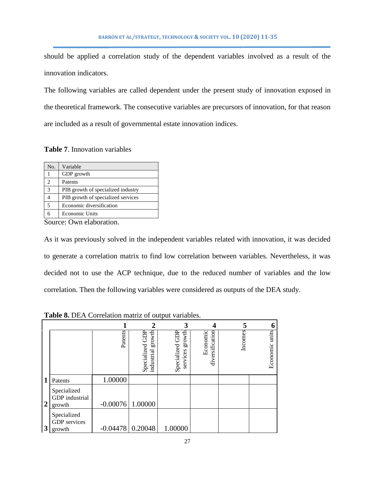should be applied a correlation study of the dependent variables involved as a result of the innovation indicators.

The following variables are called dependent under the present study of innovation exposed in the theoretical framework. The consecutive variables are precursors of innovation, for that reason are included as a result of governmental estate innovation indices.

**Table 7**. Innovation variables

| No.                         | Variable                           |
|-----------------------------|------------------------------------|
|                             | GDP growth                         |
| $\mathcal{D}_{\mathcal{A}}$ | Patents                            |
| 3                           | PIB growth of specialized industry |
|                             | PIB growth of specialized services |
| 5                           | Economic diversification           |
|                             | <b>Economic Units</b>              |

Source: Own elaboration.

As it was previously solved in the independent variables related with innovation, it was decided to generate a correlation matrix to find low correlation between variables. Nevertheless, it was decided not to use the ACP technique, due to the reduced number of variables and the low correlation. Then the following variables were considered as outputs of the DEA study.

|                |                                                |                    |                                            |                                       |                             |         | 6                 |
|----------------|------------------------------------------------|--------------------|--------------------------------------------|---------------------------------------|-----------------------------|---------|-------------------|
|                |                                                | Patents            | growth<br>GDP<br>Specialized<br>industrial | growth<br>Specialized GDP<br>services | Economic<br>diversification | Incomes | units<br>Economic |
| 1              | Patents                                        | 1.00000            |                                            |                                       |                             |         |                   |
| $\overline{2}$ | Specialized<br><b>GDP</b> industrial<br>growth | $-0.00076$ 1.00000 |                                            |                                       |                             |         |                   |
| 3              | Specialized<br><b>GDP</b> services<br>growth   |                    | $-0.04478$ 0.20048                         | 1.00000                               |                             |         |                   |

**Table 8.** DEA Correlation matriz of output variables.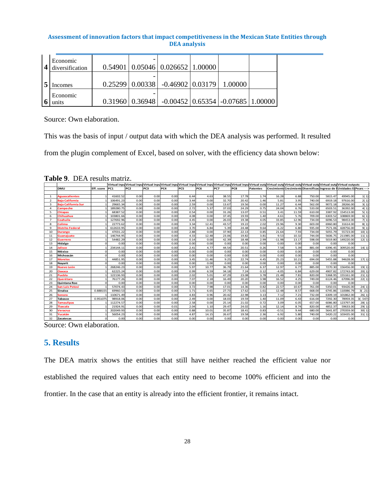| Economic<br>diversification |  | $0.54901   0.05046   0.026652   1.00000$                                |  |  |
|-----------------------------|--|-------------------------------------------------------------------------|--|--|
| mcomes                      |  | $0.25299   0.00338   -0.46902   0.03179   1.00000$                      |  |  |
| Economic<br>units           |  | $0.31960$   $0.36948$   $-0.00452$   $0.65354$   $-0.07685$   $1.00000$ |  |  |

Source: Own elaboration.

This was the basis of input / output data with which the DEA analysis was performed. It resulted

from the plugin complement of Excel, based on solver, with the efficiency data shown below:

**Table 9**. DEA results matriz.

|                |                            |            |                 |                 |      |      |      |       |       |       |                 |          |       |        | Virtual inpu Virtual inpu Virtual inpu Virtual inpu Virtual inpu Virtual inpu Virtual inpu Virtual outd Virtual outd Virtual outd Virtual outd Virtual outd Virtual outd Virtual outd Virtual outd Virtual outd Virtual outd V |           |         |
|----------------|----------------------------|------------|-----------------|-----------------|------|------|------|-------|-------|-------|-----------------|----------|-------|--------|--------------------------------------------------------------------------------------------------------------------------------------------------------------------------------------------------------------------------------|-----------|---------|
|                | <b>DMU</b>                 | Eff. score | PC <sub>1</sub> | PC <sub>2</sub> | PC3  | PC4  | PC5  | PC6   | PC7   | PC8   | <b>Patentes</b> |          |       |        | Crecimiento Crecimiento Diversificad Ingreso de Il Unidades Ed Pears --->                                                                                                                                                      |           |         |
|                |                            |            |                 |                 |      |      |      |       |       |       |                 |          |       |        |                                                                                                                                                                                                                                |           |         |
| $\mathbf{1}$   | <b>Aguascalientes</b>      |            | 41602.52        | 0.00            | 0.00 | 0.00 | 6.44 | 4.63  | 38.55 | 17.78 | 1.74            | 16.28    | 6.88  | 750.00 | 5815.47                                                                                                                                                                                                                        | 49945.00  | 1(1)    |
| $\overline{2}$ | <b>Baia California</b>     |            | 106491.23       | 0.00            | 0.00 | 0.00 | 3.44 | 0.00  | 32.70 | 20.42 | 1.46            | 5.81     | 3.95  | 740.00 | 6919.18                                                                                                                                                                                                                        | 97616.00  | 2(1)    |
| $\mathbf{B}$   | <b>Baia California Sur</b> |            | 29665.34        | 0.00            | 0.00 | 0.00 | 2.59 | 0.00  | 13.67 | 19.56 | 0.00            | 11.27    | 6.44  | 562.00 | 9072.18                                                                                                                                                                                                                        | 28266.00  | 3(1)    |
| $\overline{a}$ | <b>Campeche</b>            |            | 189280.75       | 0.00            | 0.00 | 0.00 | 2.72 | 5.37  | 37.03 | 24.29 | 0.75            | 24.04    | 6.76  | 533.00 | 6503.51                                                                                                                                                                                                                        | 36392.00  | 4(1)    |
| 5              | <b>Chiapas</b>             |            | 68387.52        | 0.00            | 0.00 | 0.00 | 0.54 | 0.00  | 31.26 | 13.07 | 0.51            | 3.41     | 11.59 | 610.00 | 3387.92                                                                                                                                                                                                                        | 154513.00 | 5(1)    |
| 6              | <b>Chihuahua</b>           |            | 103801.66       | 0.00            | 0.00 | 0.00 | 4.08 | 0.00  | 37.45 | 19.93 | 1.40            | 4.61     | 5.76  | 709.00 | 6303.52                                                                                                                                                                                                                        | 108869.00 | 6(1)    |
| $\overline{ }$ | Coahuila                   |            | 127692.96       | 0.00            | 0.00 | 0.00 | 4.45 | 0.00  | 26.03 | 19.38 | 4.05            | 33.85    | 12.96 | 734.00 | 6096.53                                                                                                                                                                                                                        | 98453.00  | 7(1)    |
| 8              | Colima                     |            | 22773.62        | 0.00            | 0.00 | 0.00 | 3.34 | 12.41 | 43.57 | 19.22 | 2.02            | 23.96    | 9.30  | 603.00 | 6960.80                                                                                                                                                                                                                        | 31614.00  | 8(1)    |
| 9              | <b>Distrito Federal</b>    |            | 612633.95       | 0.00            | 0.00 | 0.00 | 3.70 | 6.84  | 5.39  | 24.48 | 9.64            | $-6.22$  | 6.80  | 935.00 | 7571.06                                                                                                                                                                                                                        | 428756.00 | 9(1)    |
| 10             | <b>Durango</b>             |            | 47031.22        | 0.00            | 0.00 | 0.00 | 2.88 | 0.00  | 37.90 | 22.13 | 0.85            | 21.64    | 7.93  | 734.00 | 5055.79                                                                                                                                                                                                                        | 55723.00  | 10(1)   |
| 11             | Guanaiuato                 |            | 146744.95       | 0.00            | 0.00 | 0.00 | 4.33 | 12.48 | 23.06 | 19.82 | 3.81            | 9.53     | 10.32 | 744.00 | 5606.75                                                                                                                                                                                                                        | 211985.00 | 11(1)   |
| 12             | Guerrero                   |            | 54482.29        | 0.00            | 0.00 | 0.00 | 0.14 | 0.00  | 42.39 | 18.48 | 2.99            | $-11.98$ | 13.17 | 598.00 | 5019.80                                                                                                                                                                                                                        | 149220.00 | 12(1)   |
| 13             | Hidalgo                    |            | 0.00            | 0.00            | 0.00 | 0.00 | 0.00 | 0.00  | 0.00  | 0.00  | 0.00            | 0.00     | 0.00  | 0.00   | 0.00                                                                                                                                                                                                                           | 0.00      |         |
| 14             | Jalisco                    |            | 234144.11       | 0.00            | 0.00 | 0.00 | 2.41 | 4.77  | 44.54 | 20.51 | 0.26            | 7.58     | 5.39  | 881.00 | 6396.45                                                                                                                                                                                                                        | 309520.00 | 14(1)   |
| 15             | México                     |            | 0.00            | 0.00            | 0.00 | 0.00 | 0.00 | 0.00  | 0.00  | 0.00  | 0.00            | 0.00     | 0.00  | 0.00   | 0.00                                                                                                                                                                                                                           | 0.00      |         |
| 16             | Michoacán                  |            | 0.00            | 0.00            | 0.00 | 0.00 | 0.00 | 0.00  | 0.00  | 0.00  | 0.00            | 0.00     | 0.00  | 0.00   | 0.00                                                                                                                                                                                                                           | 0.00      |         |
| 17             | <b>Morelos</b>             |            | 44851.95        | 0.00            | 0.00 | 0.00 | 3.45 | 11.46 | 9.25  | 22.74 | 4.45            | 25.23    | 10.21 | 694.00 | 5455.88                                                                                                                                                                                                                        | 94628.00  | 17(1)   |
| 18             | Navarit                    |            | 0.00            | 0.00            | 0.00 | 0.00 | 0.00 | 0.00  | 0.00  | 0.00  | 0.00            | 0.00     | 0.00  | 0.00   | 0.00                                                                                                                                                                                                                           | 0.00      |         |
| 19             | Nuevo León                 |            | 268246.23       | 0.00            | 0.00 | 0.00 | 5.97 | 10.77 | 36.79 | 21.64 | 6.37            | 12.97    | 6.77  | 885.00 | 7270.30                                                                                                                                                                                                                        | 156456.00 | 19(1)   |
| 20             | Oaxaca                     |            | 62225.24        | 0.00            | 0.00 | 0.00 | 0.99 | 6.59  | 34.18 | 7.24  | 0.12            | $-4.05$  | 6.84  | 629.00 | 4907.82                                                                                                                                                                                                                        | 172743.00 | 20(1)   |
| 21             | <b>Puebla</b>              |            | 122136.93       | 0.00            | 0.00 | 0.00 | 2.02 | 5.01  | 47.29 | 23.08 | 3.78            | 21.48    | 7.81  | 820.00 | 5368.95                                                                                                                                                                                                                        | 155161.00 | 21(1)   |
| 22             | Querétaro                  |            | 76177.26        | 0.00            | 0.00 | 0.00 | 7.07 | 2.18  | 16.49 | 20.20 | 3.98            | 16.52    | 4.25  | 749.00 | 6124.46                                                                                                                                                                                                                        | 67096.00  | 22(1)   |
| 23             | <b>Quintana Roo</b>        |            | 0.00            | 0.00            | 0.00 | 0.00 | 0.00 | 0.00  | 0.00  | 0.00  | 0.00            | 0.00     | 0.00  | 0.00   | 0.00                                                                                                                                                                                                                           | 0.00      |         |
| 24             | <b>San Luis Potosí</b>     |            | 57074.43        | 0.00            | 0.00 | 0.00 | 3.72 | 7.98  | 17.01 | 14.36 | 0.82            | 22.57    | 10.67 | 761.00 | 5350.01                                                                                                                                                                                                                        | 93426.00  | 24(1)   |
| 25             | Sinaloa                    | 0.888155   | 69960.53        | 0.00            | 0.00 | 0.00 | 1.71 | 6.65  | 27.73 | 17.62 | 1.61            | 12.48    | 8.57  | 668.00 | 6745.86                                                                                                                                                                                                                        | 110086.79 | 3( .21) |
| 26             | Sonora                     |            | 110671.49       | 0.00            | 0.00 | 0.00 | 4.83 | 0.96  | 20.42 | 22.98 | 3.13            | 7.12     | 7.21  | 732.00 | 6309.19                                                                                                                                                                                                                        | 101862.00 | 26(1)   |
| 27             | Tabasco                    | 0.951075   | 98918.06        | 0.00            | 0.00 | 0.00 | 2.49 | 0.00  | 18.03 | 19.59 | 1.40            | 11.09    | 6.43  | 616.00 | 7292.30                                                                                                                                                                                                                        | 78959.35  | 3(.547) |
| 28             | <b>Tamaulipas</b>          |            | 112274.57       | 0.00            | 0.00 | 0.00 | 2.58 | 0.00  | 25.14 | 21.02 | 0.72            | 3.09     | 6.05  | 657.00 | 6086.80                                                                                                                                                                                                                        | 123797.00 | 28(1)   |
| 29             | <b>Tlaxcala</b>            |            | 21924.91        | 0.00            | 0.00 | 0.01 | 2.04 | 1.10  | 29.47 | 24.02 | 1.16            | 12.14    | 8.74  | 820.00 | 4852.37                                                                                                                                                                                                                        | 59633.00  | 29(1)   |
| 30             | Veracruz                   |            | 202049.93       | 0.00            | 0.00 | 0.00 | 0.88 | 10.01 | 35.87 | 18.41 | 0.83            | $-0.51$  | 9.44  | 680.00 | 5641.87                                                                                                                                                                                                                        | 270359.00 | 30(1)   |
| 31             | Yucatán                    |            | 56054.23        | 0.00            | 0.00 | 0.00 | 4.87 | 14.15 | 26.67 | 19.58 | 2.36            | 6.92     | 5.80  | 740.00 | 5420.22                                                                                                                                                                                                                        | 103435.00 | 31(1)   |
| 32             | <b>Zacatecas</b>           |            | 0.00            | 0.00            | 0.00 | 0.00 | 0.00 | 0.00  | 0.00  | 0.00  | 0.00            | 0.00     | 0.00  | 0.00   | 0.00                                                                                                                                                                                                                           | 0.00      |         |

Source: Own elaboration.

# **5. Results**

The DEA matrix shows the entities that still have neither reached the efficient value nor established the required values that each entity need to become 100% efficient and into the frontier. In the case that an entity is already into the efficient frontier, it remains intact.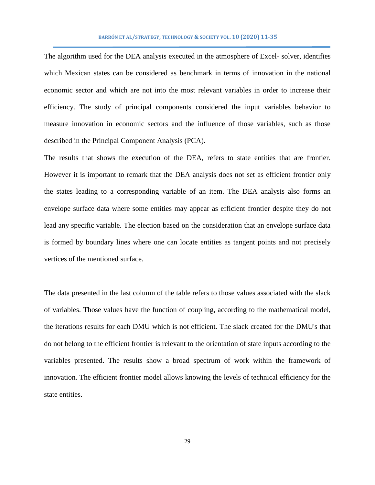The algorithm used for the DEA analysis executed in the atmosphere of Excel- solver, identifies which Mexican states can be considered as benchmark in terms of innovation in the national economic sector and which are not into the most relevant variables in order to increase their efficiency. The study of principal components considered the input variables behavior to measure innovation in economic sectors and the influence of those variables, such as those described in the Principal Component Analysis (PCA).

The results that shows the execution of the DEA, refers to state entities that are frontier. However it is important to remark that the DEA analysis does not set as efficient frontier only the states leading to a corresponding variable of an item. The DEA analysis also forms an envelope surface data where some entities may appear as efficient frontier despite they do not lead any specific variable. The election based on the consideration that an envelope surface data is formed by boundary lines where one can locate entities as tangent points and not precisely vertices of the mentioned surface.

The data presented in the last column of the table refers to those values associated with the slack of variables. Those values have the function of coupling, according to the mathematical model, the iterations results for each DMU which is not efficient. The slack created for the DMU's that do not belong to the efficient frontier is relevant to the orientation of state inputs according to the variables presented. The results show a broad spectrum of work within the framework of innovation. The efficient frontier model allows knowing the levels of technical efficiency for the state entities.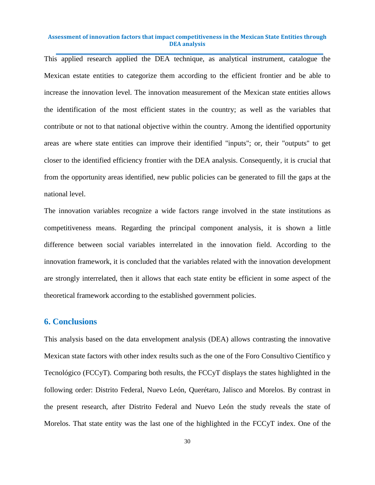This applied research applied the DEA technique, as analytical instrument, catalogue the Mexican estate entities to categorize them according to the efficient frontier and be able to increase the innovation level. The innovation measurement of the Mexican state entities allows the identification of the most efficient states in the country; as well as the variables that contribute or not to that national objective within the country. Among the identified opportunity areas are where state entities can improve their identified "inputs"; or, their "outputs" to get closer to the identified efficiency frontier with the DEA analysis. Consequently, it is crucial that from the opportunity areas identified, new public policies can be generated to fill the gaps at the national level.

The innovation variables recognize a wide factors range involved in the state institutions as competitiveness means. Regarding the principal component analysis, it is shown a little difference between social variables interrelated in the innovation field. According to the innovation framework, it is concluded that the variables related with the innovation development are strongly interrelated, then it allows that each state entity be efficient in some aspect of the theoretical framework according to the established government policies.

# **6. Conclusions**

This analysis based on the data envelopment analysis (DEA) allows contrasting the innovative Mexican state factors with other index results such as the one of the Foro Consultivo Científico y Tecnológico (FCCyT). Comparing both results, the FCCyT displays the states highlighted in the following order: Distrito Federal, Nuevo León, Querétaro, Jalisco and Morelos. By contrast in the present research, after Distrito Federal and Nuevo León the study reveals the state of Morelos. That state entity was the last one of the highlighted in the FCCyT index. One of the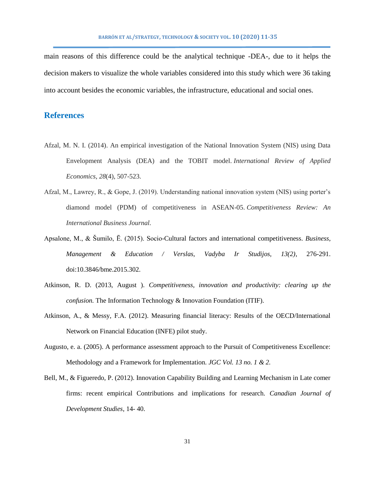main reasons of this difference could be the analytical technique -DEA-, due to it helps the decision makers to visualize the whole variables considered into this study which were 36 taking into account besides the economic variables, the infrastructure, educational and social ones.

# **References**

- Afzal, M. N. I. (2014). An empirical investigation of the National Innovation System (NIS) using Data Envelopment Analysis (DEA) and the TOBIT model. *International Review of Applied Economics*, *28*(4), 507-523.
- Afzal, M., Lawrey, R., & Gope, J. (2019). Understanding national innovation system (NIS) using porter's diamond model (PDM) of competitiveness in ASEAN-05. *Competitiveness Review: An International Business Journal.*
- Apsalone, M., & Šumilo, Ē. (2015). Socio-Cultural factors and international competitiveness. *Business, Management & Education / Verslas, Vadyba Ir Studijos, 13(2)*, 276-291. doi:10.3846/bme.2015.302.
- Atkinson, R. D. (2013, August ). *Competitiveness, innovation and productivity: clearing up the confusion.* The Information Technology & Innovation Foundation (ITIF).
- Atkinson, A., & Messy, F.A. (2012). Measuring financial literacy: Results of the OECD/International Network on Financial Education (INFE) pilot study.
- Augusto, e. a. (2005). A performance assessment approach to the Pursuit of Competitiveness Excellence: Methodology and a Framework for Implementation. *JGC Vol. 13 no. 1 & 2.*
- Bell, M., & Figueredo, P. (2012). Innovation Capability Building and Learning Mechanism in Late comer firms: recent empirical Contributions and implications for research. *Canadian Journal of Development Studies*, 14- 40.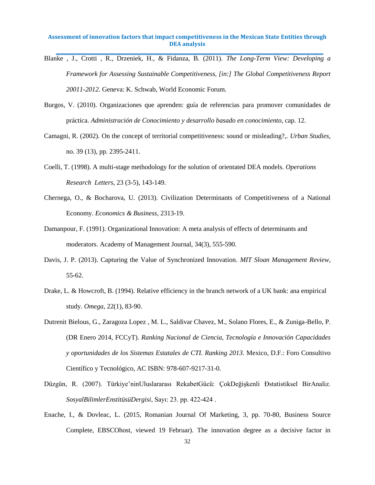- Blanke , J., Crotti , R., Drzeniek, H., & Fidanza, B. (2011). *The Long-Term View: Developing a Framework for Assessing Sustainable Competitiveness, [in:] The Global Competitiveness Report 20011-2012.* Geneva: K. Schwab, World Economic Forum.
- Burgos, V. (2010). Organizaciones que aprenden: guía de referencias para promover comunidades de práctica. *Administración de Conocimiento y desarrollo basado en conocimiento*, cap. 12.
- Camagni, R. (2002). On the concept of territorial competitiveness: sound or misleading?,. *Urban Studies*, no. 39 (13), pp. 2395-2411.
- Coelli, T. (1998). A multi-stage methodology for the solution of orientated DEA models. *Operations Research Letters*, 23 (3-5), 143-149.
- Chernega, O., & Bocharova, U. (2013). Civilization Determinants of Competitiveness of a National Economy. *Economics & Business*, 2313-19.
- Damanpour, F. (1991). Organizational Innovation: A meta analysis of effects of determinants and moderators. Academy of Management Journal, 34(3), 555-590.
- Davis, J. P. (2013). Capturing the Value of Synchronized Innovation. *MIT Sloan Management Review*, 55-62.
- Drake, L. & Howcroft, B. (1994). Relative efficiency in the branch network of a UK bank: ana empirical study. *Omega*, 22(1), 83-90.
- Dutrenit Bielous, G., Zaragoza Lopez , M. L., Saldivar Chavez, M., Solano Flores, E., & Zuniga-Bello, P. (DR Enero 2014, FCCyT). *Ranking Nacional de Ciencia, Tecnología e Innovación Capacidades y oportunidades de los Sistemas Estatales de CTI. Ranking 2013.* Mexico, D.F.: Foro Consultivo Científico y Tecnológico, AC ISBN: 978-607-9217-31-0.
- Düzgün, R. (2007). Türkiye'ninUluslararası RekabetGücü: ÇokDeğişkenli Đstatistiksel BirAnaliz. *SosyalBilimlerEnstitüsüDergisi*, Sayı: 23. pp. 422-424 .
- Enache, I., & Dovleac, L. (2015, Romanian Journal Of Marketing, 3, pp. 70-80, Business Source Complete, EBSCOhost, viewed 19 Februar). The innovation degree as a decisive factor in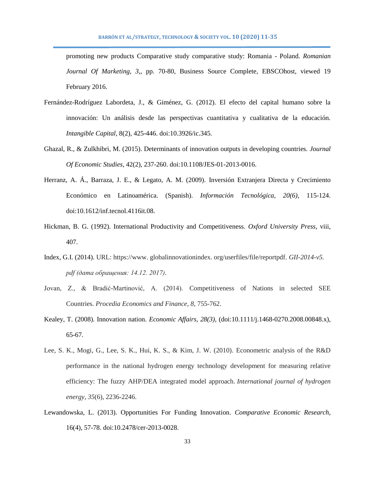promoting new products Comparative study comparative study: Romania - Poland. *Romanian Journal Of Marketing, 3,*, pp. 70-80, Business Source Complete, EBSCOhost, viewed 19 February 2016.

- Fernández-Rodríguez Labordeta, J., & Giménez, G. (2012). El efecto del capital humano sobre la innovación: Un análisis desde las perspectivas cuantitativa y cualitativa de la educación. *Intangible Capital*, 8(2), 425-446. doi:10.3926/ic.345.
- Ghazal, R., & Zulkhibri, M. (2015). Determinants of innovation outputs in developing countries. *Journal Of Economic Studies*, 42(2), 237-260. doi:10.1108/JES-01-2013-0016.
- Herranz, A. Á., Barraza, J. E., & Legato, A. M. (2009). Inversión Extranjera Directa y Crecimiento Económico en Latinoamérica. (Spanish). *Información Tecnológica, 20(6)*, 115-124. doi:10.1612/inf.tecnol.4116it.08.
- Hickman, B. G. (1992). International Productivity and Competitiveness. *Oxford University Press*, viii, 407.
- Index, G.I. (2014). URL: https://www. globalinnovationindex. org/userfiles/file/reportpdf. *GII-2014-v5. pdf (дата обращения: 14.12. 2017)*.
- Jovan, Z., & Bradić-Martinović, A. (2014). Competitiveness of Nations in selected SEE Countries. *Procedia Economics and Finance*, *8*, 755-762.
- Kealey, T. (2008). Innovation nation. *Economic Affairs, 28(3),* (doi:10.1111/j.1468-0270.2008.00848.x), 65-67.
- Lee, S. K., Mogi, G., Lee, S. K., Hui, K. S., & Kim, J. W. (2010). Econometric analysis of the R&D performance in the national hydrogen energy technology development for measuring relative efficiency: The fuzzy AHP/DEA integrated model approach. *International journal of hydrogen energy*, *35*(6), 2236-2246.
- Lewandowska, L. (2013). Opportunities For Funding Innovation. *Comparative Economic Research*, 16(4), 57-78. doi:10.2478/cer-2013-0028.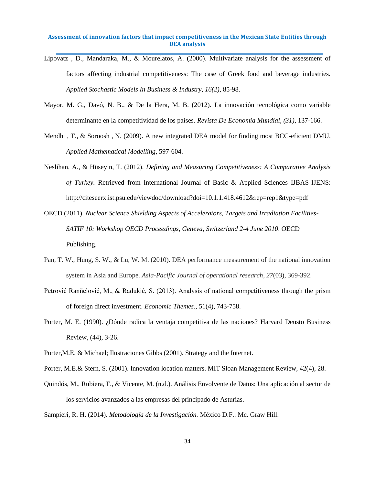- Lipovatz , D., Mandaraka, M., & Mourelatos, A. (2000). Multivariate analysis for the assessment of factors affecting industrial competitiveness: The case of Greek food and beverage industries. *Applied Stochastic Models In Business & Industry, 16(2)*, 85-98.
- Mayor, M. G., Davó, N. B., & De la Hera, M. B. (2012). La innovación tecnológica como variable determinante en la competitividad de los países. *Revista De Economía Mundial, (31)*, 137-166.
- Mendhi , T., & Soroosh , N. (2009). A new integrated DEA model for finding most BCC-eficient DMU. *Applied Mathematical Modelling*, 597-604.
- Neslihan, A., & Hüseyin, T. (2012). *Defining and Measuring Competitiveness: A Comparative Analysis of Turkey.* Retrieved from International Journal of Basic & Applied Sciences IJBAS-IJENS: http://citeseerx.ist.psu.edu/viewdoc/download?doi=10.1.1.418.4612&rep=rep1&type=pdf
- OECD (2011). *Nuclear Science Shielding Aspects of Accelerators, Targets and Irradiation Facilities-SATIF 10: Workshop OECD Proceedings, Geneva, Switzerland 2-4 June 2010*. OECD Publishing.
- Pan, T. W., Hung, S. W., & Lu, W. M. (2010). DEA performance measurement of the national innovation system in Asia and Europe. *Asia-Pacific Journal of operational research*, *27*(03), 369-392.
- Petrović Ranñelović, M., & Radukić, S. (2013). Analysis of national competitiveness through the prism of foreign direct investment. *Economic Themes.*, 51(4), 743-758.
- Porter, M. E. (1990). ¿Dónde radica la ventaja competitiva de las naciones? Harvard Deusto Business Review, (44), 3-26.
- Porter,M.E. & Michael; Ilustraciones Gibbs (2001). Strategy and the Internet.
- Porter, M.E.& Stern, S. (2001). Innovation location matters. MIT Sloan Management Review, 42(4), 28.
- Quindós, M., Rubiera, F., & Vicente, M. (n.d.). Análisis Envolvente de Datos: Una aplicación al sector de los servicios avanzados a las empresas del principado de Asturias.

Sampieri, R. H. (2014). *Metodología de la Investigación.* México D.F.: Mc. Graw Hill.